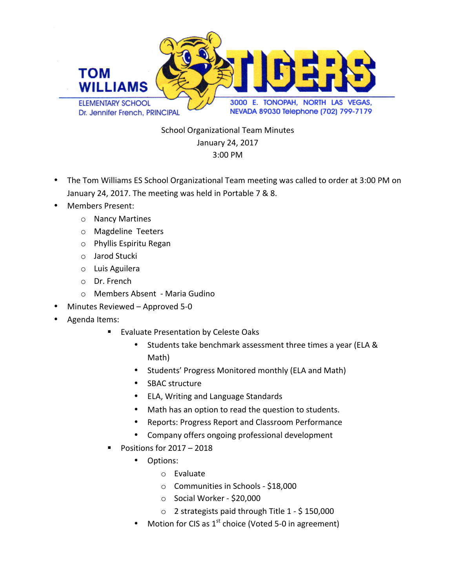

School Organizational Team Minutes January 24, 2017 3:00 PM

- The Tom Williams ES School Organizational Team meeting was called to order at 3:00 PM on January 24, 2017. The meeting was held in Portable 7 & 8.
- Members Present:
	- o Nancy Martines
	- o Magdeline Teeters
	- o Phyllis Espiritu Regan
	- o Jarod Stucki
	- o Luis Aguilera
	- o Dr. French
	- o Members Absent Maria Gudino
- Minutes Reviewed Approved 5-0
- Agenda Items:
	- Evaluate Presentation by Celeste Oaks
		- Students take benchmark assessment three times a year (ELA & Math)
		- Students' Progress Monitored monthly (ELA and Math)
		- SBAC structure
		- ELA, Writing and Language Standards
		- Math has an option to read the question to students.
		- Reports: Progress Report and Classroom Performance
		- Company offers ongoing professional development
	- Positions for  $2017 2018$ 
		- Options:
			- o Evaluate
			- $\circ$  Communities in Schools \$18,000
			- o Social Worker \$20,000
			- $\circ$  2 strategists paid through Title 1 \$ 150,000
		- Motion for CIS as  $1^{st}$  choice (Voted 5-0 in agreement)